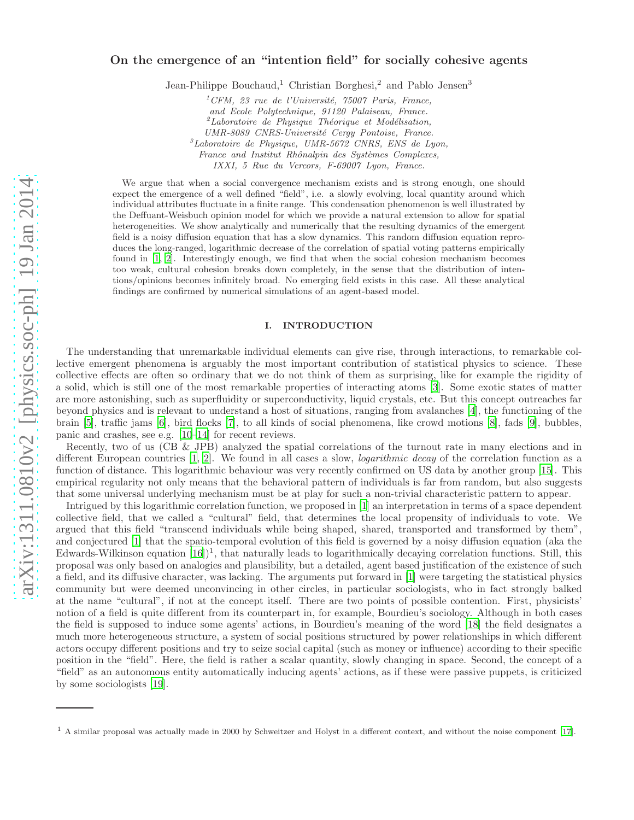# On the emergence of an "intention field" for socially cohesive agents

Jean-Philippe Bouchaud,<sup>1</sup> Christian Borghesi,<sup>2</sup> and Pablo Jensen<sup>3</sup>

 ${}^{1}$ CFM, 23 rue de l'Université, 75007 Paris, France,

and Ecole Polytechnique, 91120 Palaiseau, France.

 ${}^{2}$ Laboratoire de Physique Théorique et Modélisation,

UMR-8089 CNRS-Université Cergy Pontoise, France.

 ${}^{3}$ Laboratoire de Physique, UMR-5672 CNRS, ENS de Lyon,

France and Institut Rhônalpin des Systèmes Complexes,

IXXI, 5 Rue du Vercors, F-69007 Lyon, France.

We argue that when a social convergence mechanism exists and is strong enough, one should expect the emergence of a well defined "field", i.e. a slowly evolving, local quantity around which individual attributes fluctuate in a finite range. This condensation phenomenon is well illustrated by the Deffuant-Weisbuch opinion model for which we provide a natural extension to allow for spatial heterogeneities. We show analytically and numerically that the resulting dynamics of the emergent field is a noisy diffusion equation that has a slow dynamics. This random diffusion equation reproduces the long-ranged, logarithmic decrease of the correlation of spatial voting patterns empirically found in [\[1](#page-8-0), [2\]](#page-8-1). Interestingly enough, we find that when the social cohesion mechanism becomes too weak, cultural cohesion breaks down completely, in the sense that the distribution of intentions/opinions becomes infinitely broad. No emerging field exists in this case. All these analytical findings are confirmed by numerical simulations of an agent-based model.

## I. INTRODUCTION

The understanding that unremarkable individual elements can give rise, through interactions, to remarkable collective emergent phenomena is arguably the most important contribution of statistical physics to science. These collective effects are often so ordinary that we do not think of them as surprising, like for example the rigidity of a solid, which is still one of the most remarkable properties of interacting atoms [\[3](#page-8-2)]. Some exotic states of matter are more astonishing, such as superfluidity or superconductivity, liquid crystals, etc. But this concept outreaches far beyond physics and is relevant to understand a host of situations, ranging from avalanches [\[4\]](#page-8-3), the functioning of the brain [\[5](#page-8-4)], traffic jams [\[6\]](#page-8-5), bird flocks [\[7](#page-8-6)], to all kinds of social phenomena, like crowd motions [\[8](#page-9-0)], fads [\[9\]](#page-9-1), bubbles, panic and crashes, see e.g. [\[10](#page-9-2)[–14\]](#page-9-3) for recent reviews.

Recently, two of us (CB & JPB) analyzed the spatial correlations of the turnout rate in many elections and in different European countries [\[1](#page-8-0), [2\]](#page-8-1). We found in all cases a slow, logarithmic decay of the correlation function as a function of distance. This logarithmic behaviour was very recently confirmed on US data by another group [\[15\]](#page-9-4). This empirical regularity not only means that the behavioral pattern of individuals is far from random, but also suggests that some universal underlying mechanism must be at play for such a non-trivial characteristic pattern to appear.

Intrigued by this logarithmic correlation function, we proposed in [\[1](#page-8-0)] an interpretation in terms of a space dependent collective field, that we called a "cultural" field, that determines the local propensity of individuals to vote. We argued that this field "transcend individuals while being shaped, shared, transported and transformed by them", and conjectured [\[1\]](#page-8-0) that the spatio-temporal evolution of this field is governed by a noisy diffusion equation (aka the Edwards-Wilkinson equation  $[16]$ <sup>1</sup>, that naturally leads to logarithmically decaying correlation functions. Still, this proposal was only based on analogies and plausibility, but a detailed, agent based justification of the existence of such a field, and its diffusive character, was lacking. The arguments put forward in [\[1](#page-8-0)] were targeting the statistical physics community but were deemed unconvincing in other circles, in particular sociologists, who in fact strongly balked at the name "cultural", if not at the concept itself. There are two points of possible contention. First, physicists' notion of a field is quite different from its counterpart in, for example, Bourdieu's sociology. Although in both cases the field is supposed to induce some agents' actions, in Bourdieu's meaning of the word [\[18\]](#page-9-6) the field designates a much more heterogeneous structure, a system of social positions structured by power relationships in which different actors occupy different positions and try to seize social capital (such as money or influence) according to their specific position in the "field". Here, the field is rather a scalar quantity, slowly changing in space. Second, the concept of a "field" as an autonomous entity automatically inducing agents' actions, as if these were passive puppets, is criticized by some sociologists [\[19\]](#page-9-7).

<sup>1</sup> A similar proposal was actually made in 2000 by Schweitzer and Holyst in a different context, and without the noise component [\[17\]](#page-9-8).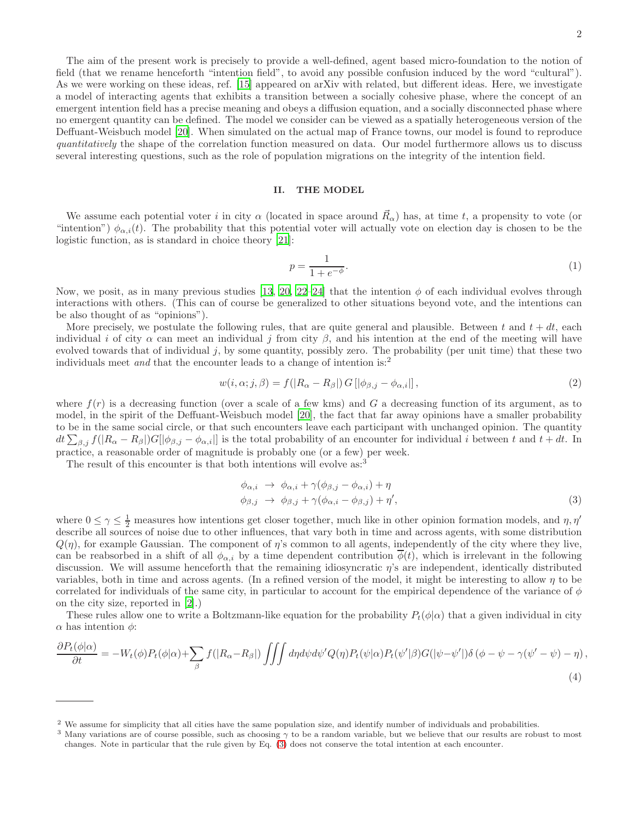The aim of the present work is precisely to provide a well-defined, agent based micro-foundation to the notion of field (that we rename henceforth "intention field", to avoid any possible confusion induced by the word "cultural"). As we were working on these ideas, ref. [\[15](#page-9-4)] appeared on arXiv with related, but different ideas. Here, we investigate a model of interacting agents that exhibits a transition between a socially cohesive phase, where the concept of an emergent intention field has a precise meaning and obeys a diffusion equation, and a socially disconnected phase where no emergent quantity can be defined. The model we consider can be viewed as a spatially heterogeneous version of the Deffuant-Weisbuch model [\[20\]](#page-9-9). When simulated on the actual map of France towns, our model is found to reproduce quantitatively the shape of the correlation function measured on data. Our model furthermore allows us to discuss several interesting questions, such as the role of population migrations on the integrity of the intention field.

#### II. THE MODEL

We assume each potential voter i in city  $\alpha$  (located in space around  $\vec{R}_{\alpha}$ ) has, at time t, a propensity to vote (or "intention")  $\phi_{\alpha,i}(t)$ . The probability that this potential voter will actually vote on election day is chosen to be the logistic function, as is standard in choice theory [\[21\]](#page-9-10):

$$
p = \frac{1}{1 + e^{-\phi}}.\tag{1}
$$

Now, we posit, as in many previous studies [\[13,](#page-9-11) [20](#page-9-9), [22](#page-9-12)[–24\]](#page-9-13) that the intention  $\phi$  of each individual evolves through interactions with others. (This can of course be generalized to other situations beyond vote, and the intentions can be also thought of as "opinions").

More precisely, we postulate the following rules, that are quite general and plausible. Between t and  $t + dt$ , each individual i of city  $\alpha$  can meet an individual j from city  $\beta$ , and his intention at the end of the meeting will have evolved towards that of individual j, by some quantity, possibly zero. The probability (per unit time) that these two individuals meet *and* that the encounter leads to a change of intention is:<sup>2</sup>

<span id="page-1-1"></span>
$$
w(i, \alpha; j, \beta) = f(|R_{\alpha} - R_{\beta}|) G[|\phi_{\beta, j} - \phi_{\alpha, i}|], \qquad (2)
$$

where  $f(r)$  is a decreasing function (over a scale of a few kms) and G a decreasing function of its argument, as to model, in the spirit of the Deffuant-Weisbuch model [\[20\]](#page-9-9), the fact that far away opinions have a smaller probability to be in the same social circle, or that such encounters leave each participant with unchanged opinion. The quantity  $dt \sum_{\beta,j} f(|R_{\alpha} - R_{\beta}|)G[|\phi_{\beta,j} - \phi_{\alpha,i}|]$  is the total probability of an encounter for individual i between t and  $t + dt$ . In practice, a reasonable order of magnitude is probably one (or a few) per week.

The result of this encounter is that both intentions will evolve as:

<span id="page-1-0"></span>
$$
\begin{aligned}\n\phi_{\alpha,i} &\to \phi_{\alpha,i} + \gamma(\phi_{\beta,j} - \phi_{\alpha,i}) + \eta \\
\phi_{\beta,j} &\to \phi_{\beta,j} + \gamma(\phi_{\alpha,i} - \phi_{\beta,j}) + \eta',\n\end{aligned} \tag{3}
$$

where  $0 \leq \gamma \leq \frac{1}{2}$  measures how intentions get closer together, much like in other opinion formation models, and  $\eta$ ,  $\eta'$ describe all sources of noise due to other influences, that vary both in time and across agents, with some distribution  $Q(\eta)$ , for example Gaussian. The component of  $\eta$ 's common to all agents, independently of the city where they live, can be reabsorbed in a shift of all  $\phi_{\alpha,i}$  by a time dependent contribution  $\overline{\phi}(t)$ , which is irrelevant in the following discussion. We will assume henceforth that the remaining idiosyncratic η's are independent, identically distributed variables, both in time and across agents. (In a refined version of the model, it might be interesting to allow  $\eta$  to be correlated for individuals of the same city, in particular to account for the empirical dependence of the variance of  $\phi$ on the city size, reported in [\[2\]](#page-8-1).)

These rules allow one to write a Boltzmann-like equation for the probability  $P_t(\phi|\alpha)$  that a given individual in city  $\alpha$  has intention  $\phi$ :

<span id="page-1-2"></span>
$$
\frac{\partial P_t(\phi|\alpha)}{\partial t} = -W_t(\phi)P_t(\phi|\alpha) + \sum_{\beta} f(|R_{\alpha} - R_{\beta}|) \iiint d\eta d\psi d\psi' Q(\eta)P_t(\psi|\alpha)P_t(\psi'|\beta)G(|\psi - \psi'|)\delta(\phi - \psi - \gamma(\psi' - \psi) - \eta) ,
$$
\n(4)

<sup>2</sup> We assume for simplicity that all cities have the same population size, and identify number of individuals and probabilities.

<sup>&</sup>lt;sup>3</sup> Many variations are of course possible, such as choosing  $\gamma$  to be a random variable, but we believe that our results are robust to most changes. Note in particular that the rule given by Eq. [\(3\)](#page-1-0) does not conserve the total intention at each encounter.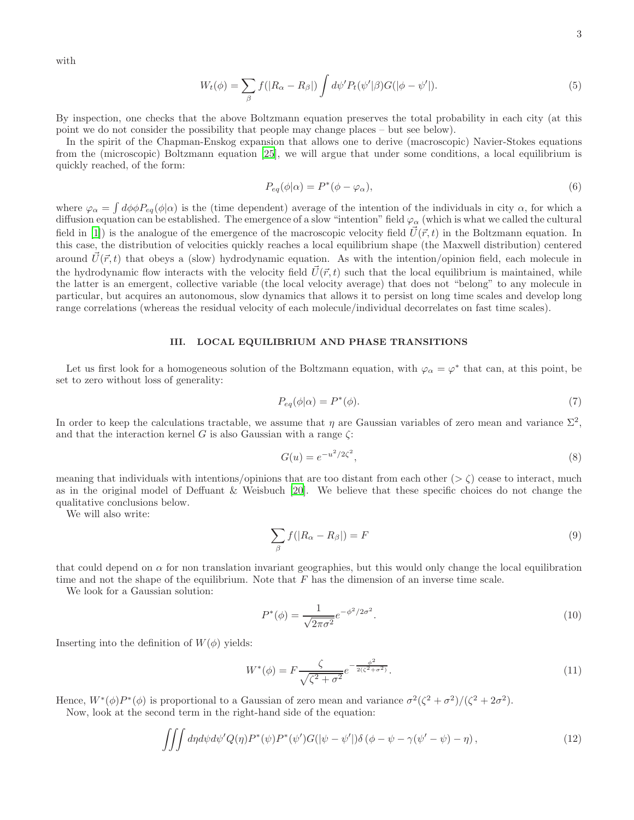with

$$
W_t(\phi) = \sum_{\beta} f(|R_{\alpha} - R_{\beta}|) \int d\psi' P_t(\psi'|\beta) G(|\phi - \psi'|). \tag{5}
$$

By inspection, one checks that the above Boltzmann equation preserves the total probability in each city (at this point we do not consider the possibility that people may change places – but see below).

In the spirit of the Chapman-Enskog expansion that allows one to derive (macroscopic) Navier-Stokes equations from the (microscopic) Boltzmann equation [\[25](#page-9-14)], we will argue that under some conditions, a local equilibrium is quickly reached, of the form:

$$
P_{eq}(\phi|\alpha) = P^*(\phi - \varphi_\alpha),\tag{6}
$$

where  $\varphi_{\alpha} = \int d\phi \phi P_{eq}(\phi|\alpha)$  is the (time dependent) average of the intention of the individuals in city  $\alpha$ , for which a diffusion equation can be established. The emergence of a slow "intention" field  $\varphi_\alpha$  (which is what we called the cultural field in [\[1](#page-8-0)]) is the analogue of the emergence of the macroscopic velocity field  $\vec{U}(\vec{r}, t)$  in the Boltzmann equation. In this case, the distribution of velocities quickly reaches a local equilibrium shape (the Maxwell distribution) centered around  $\vec{U}(\vec{r}, t)$  that obeys a (slow) hydrodynamic equation. As with the intention/opinion field, each molecule in the hydrodynamic flow interacts with the velocity field  $\vec{U}(\vec{r}, t)$  such that the local equilibrium is maintained, while the latter is an emergent, collective variable (the local velocity average) that does not "belong" to any molecule in particular, but acquires an autonomous, slow dynamics that allows it to persist on long time scales and develop long range correlations (whereas the residual velocity of each molecule/individual decorrelates on fast time scales).

# III. LOCAL EQUILIBRIUM AND PHASE TRANSITIONS

Let us first look for a homogeneous solution of the Boltzmann equation, with  $\varphi_{\alpha} = \varphi^*$  that can, at this point, be set to zero without loss of generality:

$$
P_{eq}(\phi|\alpha) = P^*(\phi). \tag{7}
$$

In order to keep the calculations tractable, we assume that  $\eta$  are Gaussian variables of zero mean and variance  $\Sigma^2$ , and that the interaction kernel G is also Gaussian with a range  $\zeta$ :

<span id="page-2-0"></span>
$$
G(u) = e^{-u^2/2\zeta^2},\tag{8}
$$

meaning that individuals with intentions/opinions that are too distant from each other ( $>\zeta$ ) cease to interact, much as in the original model of Deffuant & Weisbuch [\[20\]](#page-9-9). We believe that these specific choices do not change the qualitative conclusions below.

We will also write:

$$
\sum_{\beta} f(|R_{\alpha} - R_{\beta}|) = F \tag{9}
$$

that could depend on  $\alpha$  for non translation invariant geographies, but this would only change the local equilibration time and not the shape of the equilibrium. Note that  $F$  has the dimension of an inverse time scale.

We look for a Gaussian solution:

$$
P^*(\phi) = \frac{1}{\sqrt{2\pi\sigma^2}} e^{-\phi^2/2\sigma^2}.
$$
\n(10)

Inserting into the definition of  $W(\phi)$  yields:

$$
W^*(\phi) = F \frac{\zeta}{\sqrt{\zeta^2 + \sigma^2}} e^{-\frac{\phi^2}{2(\zeta^2 + \sigma^2)}}.
$$
\n(11)

Hence,  $W^*(\phi)P^*(\phi)$  is proportional to a Gaussian of zero mean and variance  $\sigma^2(\zeta^2+\sigma^2)/(\zeta^2+2\sigma^2)$ . Now, look at the second term in the right-hand side of the equation:

$$
\iiint d\eta d\psi d\psi' Q(\eta) P^*(\psi) P^*(\psi') G(|\psi - \psi'|) \delta(\phi - \psi - \gamma(\psi' - \psi) - \eta) ,\tag{12}
$$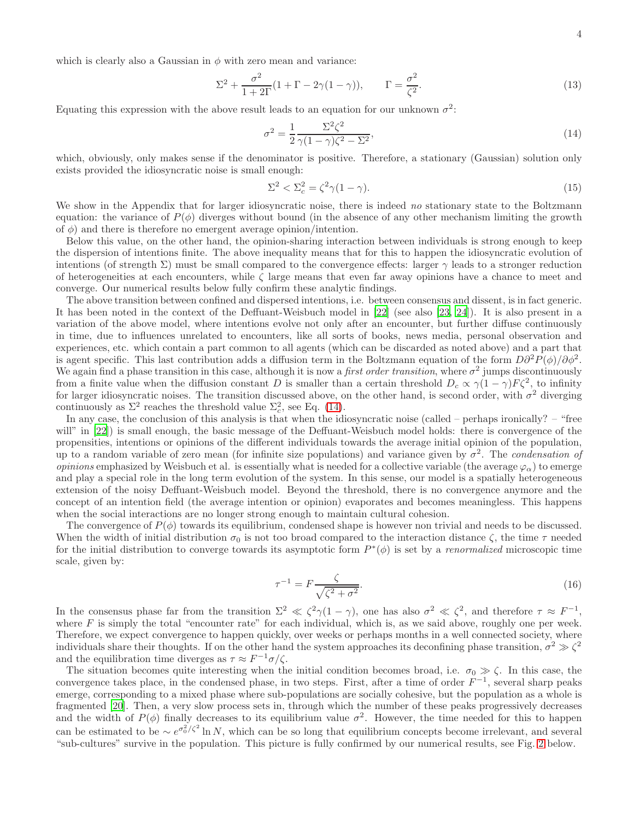$$
\Sigma^2 + \frac{\sigma^2}{1+2\Gamma}(1+\Gamma-2\gamma(1-\gamma)), \qquad \Gamma = \frac{\sigma^2}{\zeta^2}.
$$
 (13)

Equating this expression with the above result leads to an equation for our unknown  $\sigma^2$ :

<span id="page-3-0"></span>
$$
\sigma^2 = \frac{1}{2} \frac{\Sigma^2 \zeta^2}{\gamma (1 - \gamma)\zeta^2 - \Sigma^2},\tag{14}
$$

which, obviously, only makes sense if the denominator is positive. Therefore, a stationary (Gaussian) solution only exists provided the idiosyncratic noise is small enough:

$$
\Sigma^2 < \Sigma_c^2 = \zeta^2 \gamma (1 - \gamma). \tag{15}
$$

We show in the Appendix that for larger idiosyncratic noise, there is indeed no stationary state to the Boltzmann equation: the variance of  $P(\phi)$  diverges without bound (in the absence of any other mechanism limiting the growth of  $\phi$ ) and there is therefore no emergent average opinion/intention.

Below this value, on the other hand, the opinion-sharing interaction between individuals is strong enough to keep the dispersion of intentions finite. The above inequality means that for this to happen the idiosyncratic evolution of intentions (of strength  $\Sigma$ ) must be small compared to the convergence effects: larger  $\gamma$  leads to a stronger reduction of heterogeneities at each encounters, while  $\zeta$  large means that even far away opinions have a chance to meet and converge. Our numerical results below fully confirm these analytic findings.

The above transition between confined and dispersed intentions, i.e. between consensus and dissent, is in fact generic. It has been noted in the context of the Deffuant-Weisbuch model in [\[22\]](#page-9-12) (see also [\[23](#page-9-15), [24](#page-9-13)]). It is also present in a variation of the above model, where intentions evolve not only after an encounter, but further diffuse continuously in time, due to influences unrelated to encounters, like all sorts of books, news media, personal observation and experiences, etc. which contain a part common to all agents (which can be discarded as noted above) and a part that is agent specific. This last contribution adds a diffusion term in the Boltzmann equation of the form  $D\partial^2 P(\phi)/\partial \phi^2$ . We again find a phase transition in this case, although it is now a *first order transition*, where  $\sigma^2$  jumps discontinuously from a finite value when the diffusion constant D is smaller than a certain threshold  $D_c \propto \gamma (1 - \gamma) F \zeta^2$ , to infinity for larger idiosyncratic noises. The transition discussed above, on the other hand, is second order, with  $\sigma^2$  diverging continuously as  $\Sigma^2$  reaches the threshold value  $\Sigma_c^2$ , see Eq. [\(14\)](#page-3-0).

In any case, the conclusion of this analysis is that when the idiosyncratic noise (called – perhaps ironically? – "free will" in [\[22\]](#page-9-12)) is small enough, the basic message of the Deffuant-Weisbuch model holds: there is convergence of the propensities, intentions or opinions of the different individuals towards the average initial opinion of the population, up to a random variable of zero mean (for infinite size populations) and variance given by  $\sigma^2$ . The *condensation of opinions* emphasized by Weisbuch et al. is essentially what is needed for a collective variable (the average  $\varphi_{\alpha}$ ) to emerge and play a special role in the long term evolution of the system. In this sense, our model is a spatially heterogeneous extension of the noisy Deffuant-Weisbuch model. Beyond the threshold, there is no convergence anymore and the concept of an intention field (the average intention or opinion) evaporates and becomes meaningless. This happens when the social interactions are no longer strong enough to maintain cultural cohesion.

The convergence of  $P(\phi)$  towards its equilibrium, condensed shape is however non trivial and needs to be discussed. When the width of initial distribution  $\sigma_0$  is not too broad compared to the interaction distance  $\zeta$ , the time  $\tau$  needed for the initial distribution to converge towards its asymptotic form  $P^*(\phi)$  is set by a *renormalized* microscopic time scale, given by:

$$
\tau^{-1} = F \frac{\zeta}{\sqrt{\zeta^2 + \sigma^2}}.\tag{16}
$$

In the consensus phase far from the transition  $\Sigma^2 \ll \zeta^2 \gamma (1-\gamma)$ , one has also  $\sigma^2 \ll \zeta^2$ , and therefore  $\tau \approx F^{-1}$ , where  $F$  is simply the total "encounter rate" for each individual, which is, as we said above, roughly one per week. Therefore, we expect convergence to happen quickly, over weeks or perhaps months in a well connected society, where individuals share their thoughts. If on the other hand the system approaches its deconfining phase transition,  $\sigma^2 \gg \zeta^2$ and the equilibration time diverges as  $\tau \approx F^{-1}\sigma/\zeta$ .

The situation becomes quite interesting when the initial condition becomes broad, i.e.  $\sigma_0 \gg \zeta$ . In this case, the convergence takes place, in the condensed phase, in two steps. First, after a time of order  $F^{-1}$ , several sharp peaks emerge, corresponding to a mixed phase where sub-populations are socially cohesive, but the population as a whole is fragmented [\[20\]](#page-9-9). Then, a very slow process sets in, through which the number of these peaks progressively decreases and the width of  $P(\phi)$  finally decreases to its equilibrium value  $\sigma^2$ . However, the time needed for this to happen can be estimated to be  $\sim e^{\sigma_0^2/\zeta^2} \ln N$ , which can be so long that equilibrium concepts become irrelevant, and several "sub-cultures" survive in the population. This picture is fully confirmed by our numerical results, see Fig. [2](#page-6-0) below.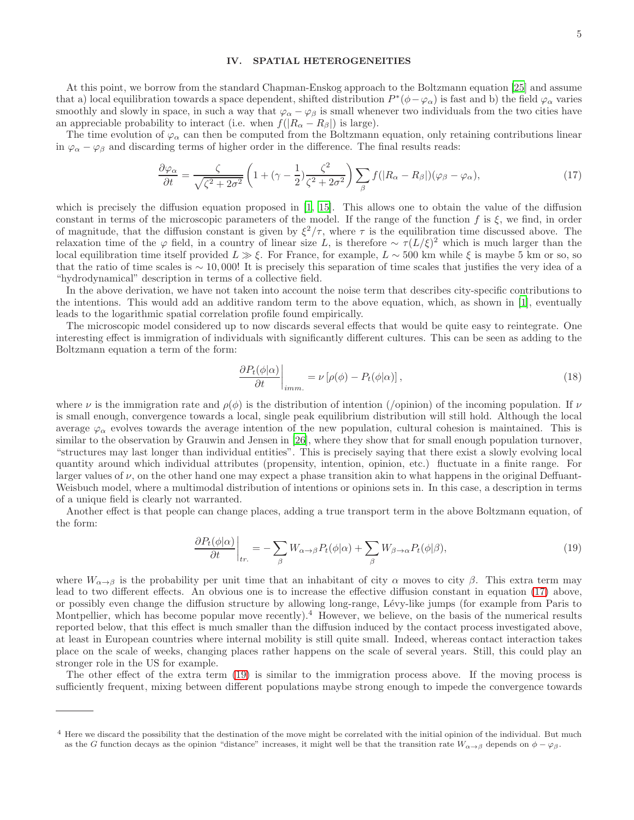## IV. SPATIAL HETEROGENEITIES

At this point, we borrow from the standard Chapman-Enskog approach to the Boltzmann equation [\[25\]](#page-9-14) and assume that a) local equilibration towards a space dependent, shifted distribution  $P^*(\phi - \varphi_\alpha)$  is fast and b) the field  $\varphi_\alpha$  varies smoothly and slowly in space, in such a way that  $\varphi_{\alpha} - \varphi_{\beta}$  is small whenever two individuals from the two cities have an appreciable probability to interact (i.e. when  $f(|R_{\alpha} - R_{\beta}|)$  is large).

The time evolution of  $\varphi_{\alpha}$  can then be computed from the Boltzmann equation, only retaining contributions linear in  $\varphi_{\alpha} - \varphi_{\beta}$  and discarding terms of higher order in the difference. The final results reads:

<span id="page-4-0"></span>
$$
\frac{\partial \varphi_{\alpha}}{\partial t} = \frac{\zeta}{\sqrt{\zeta^2 + 2\sigma^2}} \left( 1 + (\gamma - \frac{1}{2}) \frac{\zeta^2}{\zeta^2 + 2\sigma^2} \right) \sum_{\beta} f(|R_{\alpha} - R_{\beta}|) (\varphi_{\beta} - \varphi_{\alpha}), \tag{17}
$$

which is precisely the diffusion equation proposed in [\[1](#page-8-0), [15](#page-9-4)]. This allows one to obtain the value of the diffusion constant in terms of the microscopic parameters of the model. If the range of the function f is  $\xi$ , we find, in order of magnitude, that the diffusion constant is given by  $\xi^2/\tau$ , where  $\tau$  is the equilibration time discussed above. The relaxation time of the  $\varphi$  field, in a country of linear size L, is therefore ~  $\tau(L/\xi)^2$  which is much larger than the local equilibration time itself provided  $L \gg \xi$ . For France, for example,  $L \sim 500$  km while  $\xi$  is maybe 5 km or so, so that the ratio of time scales is  $\sim 10,000$ ! It is precisely this separation of time scales that justifies the very idea of a "hydrodynamical" description in terms of a collective field.

In the above derivation, we have not taken into account the noise term that describes city-specific contributions to the intentions. This would add an additive random term to the above equation, which, as shown in [\[1](#page-8-0)], eventually leads to the logarithmic spatial correlation profile found empirically.

The microscopic model considered up to now discards several effects that would be quite easy to reintegrate. One interesting effect is immigration of individuals with significantly different cultures. This can be seen as adding to the Boltzmann equation a term of the form:

$$
\left. \frac{\partial P_t(\phi|\alpha)}{\partial t} \right|_{imm.} = \nu \left[ \rho(\phi) - P_t(\phi|\alpha) \right],\tag{18}
$$

where  $\nu$  is the immigration rate and  $\rho(\phi)$  is the distribution of intention (/opinion) of the incoming population. If  $\nu$ is small enough, convergence towards a local, single peak equilibrium distribution will still hold. Although the local average  $\varphi_{\alpha}$  evolves towards the average intention of the new population, cultural cohesion is maintained. This is similar to the observation by Grauwin and Jensen in [\[26\]](#page-9-16), where they show that for small enough population turnover, "structures may last longer than individual entities". This is precisely saying that there exist a slowly evolving local quantity around which individual attributes (propensity, intention, opinion, etc.) fluctuate in a finite range. For larger values of  $\nu$ , on the other hand one may expect a phase transition akin to what happens in the original Deffuant-Weisbuch model, where a multimodal distribution of intentions or opinions sets in. In this case, a description in terms of a unique field is clearly not warranted.

Another effect is that people can change places, adding a true transport term in the above Boltzmann equation, of the form:

<span id="page-4-1"></span>
$$
\frac{\partial P_t(\phi|\alpha)}{\partial t}\bigg|_{tr.} = -\sum_{\beta} W_{\alpha \to \beta} P_t(\phi|\alpha) + \sum_{\beta} W_{\beta \to \alpha} P_t(\phi|\beta),\tag{19}
$$

where  $W_{\alpha\to\beta}$  is the probability per unit time that an inhabitant of city  $\alpha$  moves to city  $\beta$ . This extra term may lead to two different effects. An obvious one is to increase the effective diffusion constant in equation [\(17\)](#page-4-0) above, or possibly even change the diffusion structure by allowing long-range, L´evy-like jumps (for example from Paris to Montpellier, which has become popular move recently).<sup>4</sup> However, we believe, on the basis of the numerical results reported below, that this effect is much smaller than the diffusion induced by the contact process investigated above, at least in European countries where internal mobility is still quite small. Indeed, whereas contact interaction takes place on the scale of weeks, changing places rather happens on the scale of several years. Still, this could play an stronger role in the US for example.

The other effect of the extra term [\(19\)](#page-4-1) is similar to the immigration process above. If the moving process is sufficiently frequent, mixing between different populations maybe strong enough to impede the convergence towards

<sup>4</sup> Here we discard the possibility that the destination of the move might be correlated with the initial opinion of the individual. But much as the G function decays as the opinion "distance" increases, it might well be that the transition rate  $W_{\alpha\to\beta}$  depends on  $\phi-\varphi_{\beta}$ .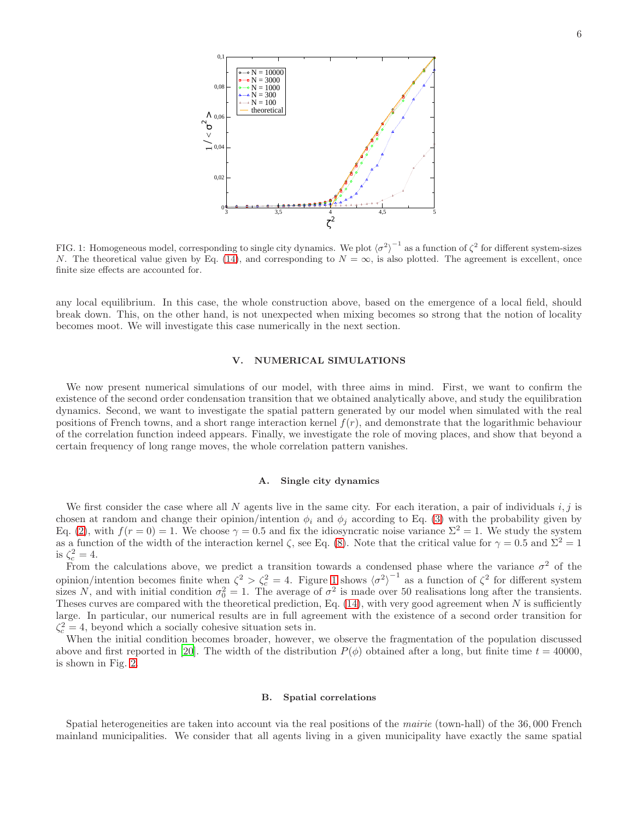

<span id="page-5-0"></span>FIG. 1: Homogeneous model, corresponding to single city dynamics. We plot  $\langle \sigma^2 \rangle^{-1}$  as a function of  $\zeta^2$  for different system-sizes N. The theoretical value given by Eq. [\(14\)](#page-3-0), and corresponding to  $N = \infty$ , is also plotted. The agreement is excellent, once finite size effects are accounted for.

any local equilibrium. In this case, the whole construction above, based on the emergence of a local field, should break down. This, on the other hand, is not unexpected when mixing becomes so strong that the notion of locality becomes moot. We will investigate this case numerically in the next section.

## V. NUMERICAL SIMULATIONS

We now present numerical simulations of our model, with three aims in mind. First, we want to confirm the existence of the second order condensation transition that we obtained analytically above, and study the equilibration dynamics. Second, we want to investigate the spatial pattern generated by our model when simulated with the real positions of French towns, and a short range interaction kernel  $f(r)$ , and demonstrate that the logarithmic behaviour of the correlation function indeed appears. Finally, we investigate the role of moving places, and show that beyond a certain frequency of long range moves, the whole correlation pattern vanishes.

### A. Single city dynamics

We first consider the case where all N agents live in the same city. For each iteration, a pair of individuals  $i, j$  is chosen at random and change their opinion/intention  $\phi_i$  and  $\phi_j$  according to Eq. [\(3\)](#page-1-0) with the probability given by Eq. [\(2\)](#page-1-1), with  $f(r=0) = 1$ . We choose  $\gamma = 0.5$  and fix the idiosyncratic noise variance  $\Sigma^2 = 1$ . We study the system as a function of the width of the interaction kernel  $\zeta$ , see Eq. [\(8\)](#page-2-0). Note that the critical value for  $\gamma = 0.5$  and  $\Sigma^2 = 1$ is  $\zeta_c^2 = 4$ .

From the calculations above, we predict a transition towards a condensed phase where the variance  $\sigma^2$  of the opinion/intention becomes finite when  $\zeta^2 > \zeta_c^2 = 4$ . Figure [1](#page-5-0) shows  $\langle \sigma^2 \rangle$  $\frac{1}{\sqrt{2}}$  as a function of  $\zeta^2$  for different system sizes N, and with initial condition  $\sigma_0^2 = 1$ . The average of  $\sigma^2$  is made over 50 realisations long after the transients. Theses curves are compared with the theoretical prediction, Eq.  $(14)$ , with very good agreement when N is sufficiently large. In particular, our numerical results are in full agreement with the existence of a second order transition for  $\zeta_c^2 = 4$ , beyond which a socially cohesive situation sets in.

When the initial condition becomes broader, however, we observe the fragmentation of the population discussed above and first reported in [\[20\]](#page-9-9). The width of the distribution  $P(\phi)$  obtained after a long, but finite time  $t = 40000$ , is shown in Fig. [2.](#page-6-0)

### B. Spatial correlations

Spatial heterogeneities are taken into account via the real positions of the mairie (town-hall) of the 36,000 French mainland municipalities. We consider that all agents living in a given municipality have exactly the same spatial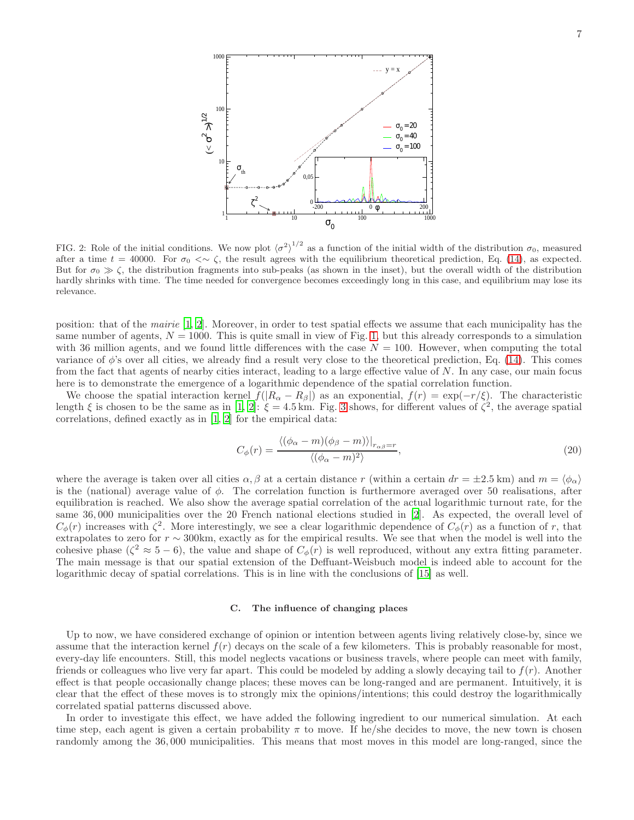

<span id="page-6-0"></span>FIG. 2: Role of the initial conditions. We now plot  $\langle \sigma^2 \rangle^{1/2}$  as a function of the initial width of the distribution  $\sigma_0$ , measured after a time  $t = 40000$ . For  $\sigma_0 < \sim \zeta$ , the result agrees with the equilibrium theoretical prediction, Eq. [\(14\)](#page-3-0), as expected. But for  $\sigma_0 \gg \zeta$ , the distribution fragments into sub-peaks (as shown in the inset), but the overall width of the distribution hardly shrinks with time. The time needed for convergence becomes exceedingly long in this case, and equilibrium may lose its relevance.

position: that of the mairie [\[1](#page-8-0), [2](#page-8-1)]. Moreover, in order to test spatial effects we assume that each municipality has the same number of agents,  $N = 1000$ . This is quite small in view of Fig. [1,](#page-5-0) but this already corresponds to a simulation with 36 million agents, and we found little differences with the case  $N = 100$ . However, when computing the total variance of  $\phi$ 's over all cities, we already find a result very close to the theoretical prediction, Eq. [\(14\)](#page-3-0). This comes from the fact that agents of nearby cities interact, leading to a large effective value of  $N$ . In any case, our main focus here is to demonstrate the emergence of a logarithmic dependence of the spatial correlation function.

We choose the spatial interaction kernel  $f(|R_{\alpha}-R_{\beta}|)$  as an exponential,  $f(r) = \exp(-r/\xi)$ . The characteristic length  $\xi$  is chosen to be the same as in [\[1](#page-8-0), [2](#page-8-1)]:  $\xi = 4.5$  km. Fig. [3](#page-7-0) shows, for different values of  $\zeta^2$ , the average spatial correlations, defined exactly as in [\[1,](#page-8-0) [2\]](#page-8-1) for the empirical data:

$$
C_{\phi}(r) = \frac{\langle (\phi_{\alpha} - m)(\phi_{\beta} - m) \rangle|_{r_{\alpha\beta} = r}}{\langle (\phi_{\alpha} - m)^2 \rangle},\tag{20}
$$

where the average is taken over all cities  $\alpha, \beta$  at a certain distance r (within a certain  $dr = \pm 2.5$  km) and  $m = \langle \phi_{\alpha} \rangle$ is the (national) average value of  $\phi$ . The correlation function is furthermore averaged over 50 realisations, after equilibration is reached. We also show the average spatial correlation of the actual logarithmic turnout rate, for the same 36, 000 municipalities over the 20 French national elections studied in [\[2\]](#page-8-1). As expected, the overall level of  $C_{\phi}(r)$  increases with  $\zeta^2$ . More interestingly, we see a clear logarithmic dependence of  $C_{\phi}(r)$  as a function of r, that extrapolates to zero for  $r \sim 300$ km, exactly as for the empirical results. We see that when the model is well into the cohesive phase ( $\zeta^2 \approx 5-6$ ), the value and shape of  $C_{\phi}(r)$  is well reproduced, without any extra fitting parameter. The main message is that our spatial extension of the Deffuant-Weisbuch model is indeed able to account for the logarithmic decay of spatial correlations. This is in line with the conclusions of [\[15\]](#page-9-4) as well.

# C. The influence of changing places

Up to now, we have considered exchange of opinion or intention between agents living relatively close-by, since we assume that the interaction kernel  $f(r)$  decays on the scale of a few kilometers. This is probably reasonable for most, every-day life encounters. Still, this model neglects vacations or business travels, where people can meet with family, friends or colleagues who live very far apart. This could be modeled by adding a slowly decaying tail to  $f(r)$ . Another effect is that people occasionally change places; these moves can be long-ranged and are permanent. Intuitively, it is clear that the effect of these moves is to strongly mix the opinions/intentions; this could destroy the logarithmically correlated spatial patterns discussed above.

In order to investigate this effect, we have added the following ingredient to our numerical simulation. At each time step, each agent is given a certain probability  $\pi$  to move. If he/she decides to move, the new town is chosen randomly among the 36, 000 municipalities. This means that most moves in this model are long-ranged, since the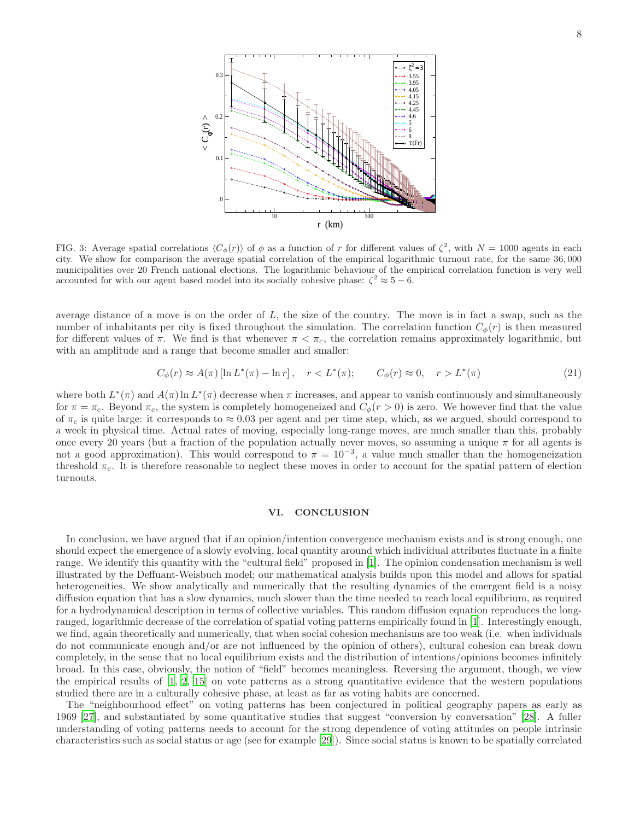

<span id="page-7-0"></span>FIG. 3: Average spatial correlations  $\langle C_{\phi}(r) \rangle$  of  $\phi$  as a function of r for different values of  $\zeta^2$ , with  $N = 1000$  agents in each city. We show for comparison the average spatial correlation of the empirical logarithmic turnout rate, for the same 36, 000 municipalities over 20 French national elections. The logarithmic behaviour of the empirical correlation function is very well accounted for with our agent based model into its socially cohesive phase:  $\zeta^2 \approx 5 - 6$ .

average distance of a move is on the order of  $L$ , the size of the country. The move is in fact a swap, such as the number of inhabitants per city is fixed throughout the simulation. The correlation function  $C_{\phi}(r)$  is then measured for different values of  $\pi$ . We find is that whenever  $\pi < \pi_c$ , the correlation remains approximately logarithmic, but with an amplitude and a range that become smaller and smaller:

$$
C_{\phi}(r) \approx A(\pi) \left[ \ln L^*(\pi) - \ln r \right], \quad r < L^*(\pi); \qquad C_{\phi}(r) \approx 0, \quad r > L^*(\pi) \tag{21}
$$

where both  $L^*(\pi)$  and  $A(\pi)$  ln  $L^*(\pi)$  decrease when  $\pi$  increases, and appear to vanish continuously and simultaneously for  $\pi = \pi_c$ . Beyond  $\pi_c$ , the system is completely homogeneized and  $C_\phi(r > 0)$  is zero. We however find that the value of  $\pi_c$  is quite large: it corresponds to  $\approx 0.03$  per agent and per time step, which, as we argued, should correspond to a week in physical time. Actual rates of moving, especially long-range moves, are much smaller than this, probably once every 20 years (but a fraction of the population actually never moves, so assuming a unique  $\pi$  for all agents is not a good approximation). This would correspond to  $\pi = 10^{-3}$ , a value much smaller than the homogeneization threshold  $\pi_c$ . It is therefore reasonable to neglect these moves in order to account for the spatial pattern of election turnouts.

## VI. CONCLUSION

In conclusion, we have argued that if an opinion/intention convergence mechanism exists and is strong enough, one should expect the emergence of a slowly evolving, local quantity around which individual attributes fluctuate in a finite range. We identify this quantity with the "cultural field" proposed in [\[1\]](#page-8-0). The opinion condensation mechanism is well illustrated by the Deffuant-Weisbuch model; our mathematical analysis builds upon this model and allows for spatial heterogeneities. We show analytically and numerically that the resulting dynamics of the emergent field is a noisy diffusion equation that has a slow dynamics, much slower than the time needed to reach local equilibrium, as required for a hydrodynamical description in terms of collective variables. This random diffusion equation reproduces the longranged, logarithmic decrease of the correlation of spatial voting patterns empirically found in [\[1\]](#page-8-0). Interestingly enough, we find, again theoretically and numerically, that when social cohesion mechanisms are too weak (i.e. when individuals do not communicate enough and/or are not influenced by the opinion of others), cultural cohesion can break down completely, in the sense that no local equilibrium exists and the distribution of intentions/opinions becomes infinitely broad. In this case, obviously, the notion of "field" becomes meaningless. Reversing the argument, though, we view the empirical results of  $[1, 2, 15]$  $[1, 2, 15]$  $[1, 2, 15]$  on vote patterns as a strong quantitative evidence that the western populations studied there are in a culturally cohesive phase, at least as far as voting habits are concerned.

The "neighbourhood effect" on voting patterns has been conjectured in political geography papers as early as 1969 [\[27\]](#page-9-17), and substantiated by some quantitative studies that suggest "conversion by conversation" [\[28](#page-9-18)]. A fuller understanding of voting patterns needs to account for the strong dependence of voting attitudes on people intrinsic characteristics such as social status or age (see for example [\[29\]](#page-9-19)). Since social status is known to be spatially correlated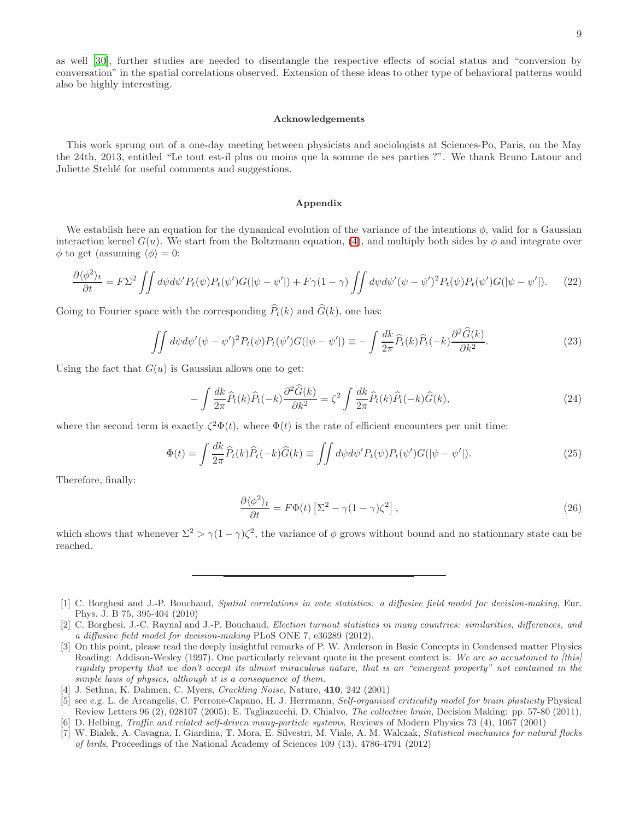as well [\[30](#page-9-20)], further studies are needed to disentangle the respective effects of social status and "conversion by conversation" in the spatial correlations observed. Extension of these ideas to other type of behavioral patterns would also be highly interesting.

#### Acknowledgements

This work sprung out of a one-day meeting between physicists and sociologists at Sciences-Po, Paris, on the May the 24th, 2013, entitled "Le tout est-il plus ou moins que la somme de ses parties ?". We thank Bruno Latour and Juliette Stehlé for useful comments and suggestions.

## Appendix

We establish here an equation for the dynamical evolution of the variance of the intentions  $\phi$ , valid for a Gaussian interaction kernel  $G(u)$ . We start from the Boltzmann equation, [\(4\)](#page-1-2), and multiply both sides by  $\phi$  and integrate over  $\phi$  to get (assuming  $\langle \phi \rangle = 0$ :

$$
\frac{\partial \langle \phi^2 \rangle_t}{\partial t} = F\Sigma^2 \iint d\psi d\psi' P_t(\psi) P_t(\psi') G(|\psi - \psi'|) + F\gamma (1 - \gamma) \iint d\psi d\psi' (\psi - \psi')^2 P_t(\psi) P_t(\psi') G(|\psi - \psi'|). \tag{22}
$$

Going to Fourier space with the corresponding  $\widehat{P}_t(k)$  and  $\widehat{G}(k)$ , one has:

$$
\iint d\psi d\psi' (\psi - \psi')^2 P_t(\psi) P_t(\psi') G(|\psi - \psi'|) \equiv -\int \frac{dk}{2\pi} \widehat{P}_t(k) \widehat{P}_t(-k) \frac{\partial^2 \widehat{G}(k)}{\partial k^2}.
$$
\n(23)

Using the fact that  $G(u)$  is Gaussian allows one to get:

$$
-\int \frac{dk}{2\pi} \widehat{P}_t(k) \widehat{P}_t(-k) \frac{\partial^2 \widehat{G}(k)}{\partial k^2} = \zeta^2 \int \frac{dk}{2\pi} \widehat{P}_t(k) \widehat{P}_t(-k) \widehat{G}(k),\tag{24}
$$

where the second term is exactly  $\zeta^2 \Phi(t)$ , where  $\Phi(t)$  is the rate of efficient encounters per unit time:

$$
\Phi(t) = \int \frac{dk}{2\pi} \widehat{P}_t(k) \widehat{P}_t(-k) \widehat{G}(k) \equiv \iint d\psi d\psi' P_t(\psi) P_t(\psi') G(|\psi - \psi'|). \tag{25}
$$

Therefore, finally:

$$
\frac{\partial \langle \phi^2 \rangle_t}{\partial t} = F \Phi(t) \left[ \Sigma^2 - \gamma (1 - \gamma) \zeta^2 \right],\tag{26}
$$

which shows that whenever  $\Sigma^2 > \gamma(1-\gamma)\zeta^2$ , the variance of  $\phi$  grows without bound and no stationnary state can be reached.

<span id="page-8-0"></span>[1] C. Borghesi and J.-P. Bouchaud, Spatial correlations in vote statistics: a diffusive field model for decision-making, Eur. Phys. J. B 75, 395-404 (2010)

<span id="page-8-1"></span><sup>[2]</sup> C. Borghesi, J.-C. Raynal and J.-P. Bouchaud, *Election turnout statistics in many countries: similarities, differences, and* a diffusive field model for decision-making PLoS ONE 7, e36289 (2012).

<span id="page-8-2"></span><sup>[3]</sup> On this point, please read the deeply insightful remarks of P. W. Anderson in Basic Concepts in Condensed matter Physics Reading: Addison-Wesley (1997). One particularly relevant quote in the present context is: We are so accustomed to [this] rigidity property that we don't accept its almost miraculous nature, that is an "emergent property" not contained in the simple laws of physics, although it is a consequence of them.

<span id="page-8-3"></span><sup>[4]</sup> J. Sethna, K. Dahmen, C. Myers, *Crackling Noise*, Nature, **410**, 242 (2001)

<span id="page-8-4"></span><sup>[5]</sup> see e.g. L. de Arcangelis, C. Perrone-Capano, H. J. Herrmann, Self-organized criticality model for brain plasticity Physical Review Letters 96 (2), 028107 (2005); E. Tagliazucchi, D. Chialvo, The collective brain, Decision Making: pp. 57-80 (2011),

<span id="page-8-5"></span><sup>[6]</sup> D. Helbing, Traffic and related self-driven many-particle systems, Reviews of Modern Physics 73 (4), 1067 (2001)

<span id="page-8-6"></span><sup>[7]</sup> W. Bialek, A. Cavagna, I. Giardina, T. Mora, E. Silvestri, M. Viale, A. M. Walczak, Statistical mechanics for natural flocks of birds, Proceedings of the National Academy of Sciences 109 (13), 4786-4791 (2012)